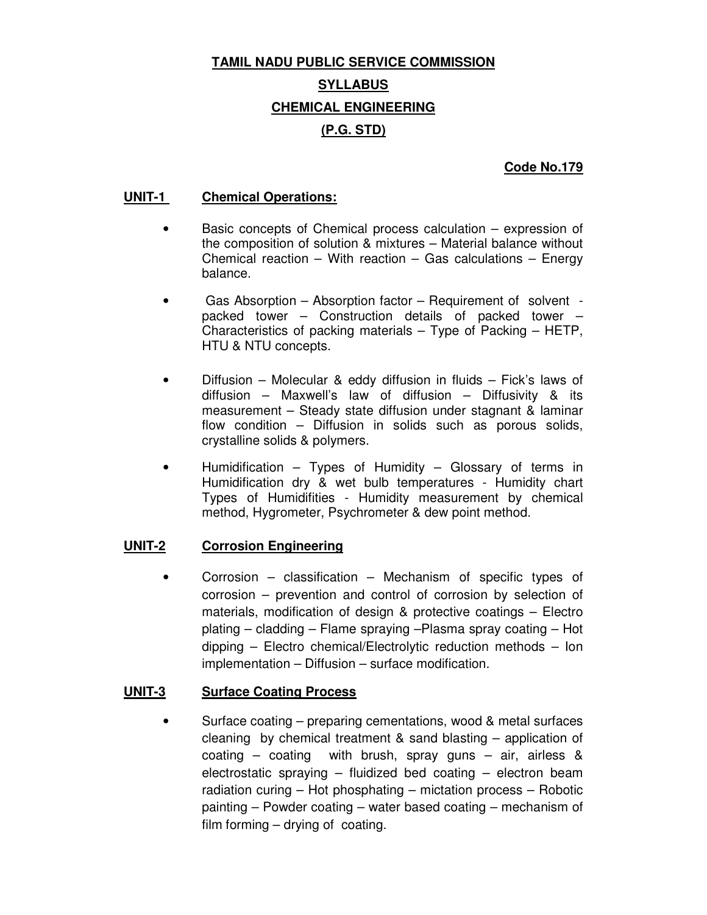# **TAMIL NADU PUBLIC SERVICE COMMISSION SYLLABUS CHEMICAL ENGINEERING (P.G. STD)**

## **Code No.179**

## **UNIT-1 Chemical Operations:**

- Basic concepts of Chemical process calculation expression of the composition of solution & mixtures – Material balance without Chemical reaction – With reaction – Gas calculations – Energy balance.
- Gas Absorption Absorption factor Requirement of solvent packed tower – Construction details of packed tower – Characteristics of packing materials – Type of Packing – HETP, HTU & NTU concepts.
- Diffusion Molecular & eddy diffusion in fluids Fick's laws of diffusion – Maxwell's law of diffusion – Diffusivity & its measurement – Steady state diffusion under stagnant & laminar flow condition – Diffusion in solids such as porous solids, crystalline solids & polymers.
- Humidification Types of Humidity Glossary of terms in Humidification dry & wet bulb temperatures - Humidity chart Types of Humidifities - Humidity measurement by chemical method, Hygrometer, Psychrometer & dew point method.

## **UNIT-2 Corrosion Engineering**

• Corrosion – classification – Mechanism of specific types of corrosion – prevention and control of corrosion by selection of materials, modification of design & protective coatings – Electro plating – cladding – Flame spraying –Plasma spray coating – Hot dipping – Electro chemical/Electrolytic reduction methods – Ion implementation – Diffusion – surface modification.

#### **UNIT-3 Surface Coating Process**

• Surface coating – preparing cementations, wood & metal surfaces cleaning by chemical treatment & sand blasting – application of coating – coating with brush, spray guns – air, airless & electrostatic spraying – fluidized bed coating – electron beam radiation curing – Hot phosphating – mictation process – Robotic painting – Powder coating – water based coating – mechanism of film forming – drying of coating.